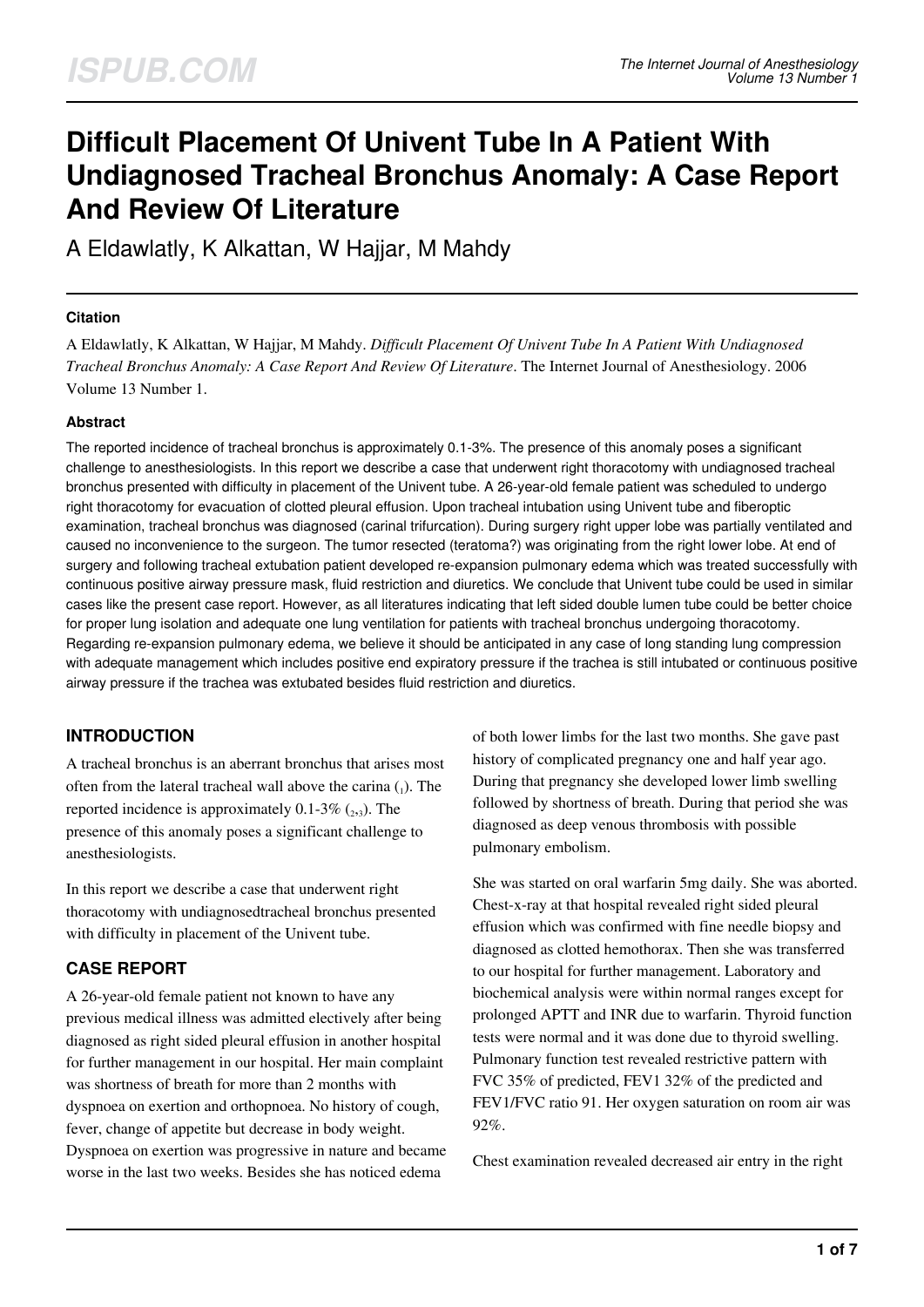# **Difficult Placement Of Univent Tube In A Patient With Undiagnosed Tracheal Bronchus Anomaly: A Case Report And Review Of Literature**

A Eldawlatly, K Alkattan, W Hajjar, M Mahdy

#### **Citation**

A Eldawlatly, K Alkattan, W Hajjar, M Mahdy. *Difficult Placement Of Univent Tube In A Patient With Undiagnosed Tracheal Bronchus Anomaly: A Case Report And Review Of Literature*. The Internet Journal of Anesthesiology. 2006 Volume 13 Number 1.

#### **Abstract**

The reported incidence of tracheal bronchus is approximately 0.1-3%. The presence of this anomaly poses a significant challenge to anesthesiologists. In this report we describe a case that underwent right thoracotomy with undiagnosed tracheal bronchus presented with difficulty in placement of the Univent tube. A 26-year-old female patient was scheduled to undergo right thoracotomy for evacuation of clotted pleural effusion. Upon tracheal intubation using Univent tube and fiberoptic examination, tracheal bronchus was diagnosed (carinal trifurcation). During surgery right upper lobe was partially ventilated and caused no inconvenience to the surgeon. The tumor resected (teratoma?) was originating from the right lower lobe. At end of surgery and following tracheal extubation patient developed re-expansion pulmonary edema which was treated successfully with continuous positive airway pressure mask, fluid restriction and diuretics. We conclude that Univent tube could be used in similar cases like the present case report. However, as all literatures indicating that left sided double lumen tube could be better choice for proper lung isolation and adequate one lung ventilation for patients with tracheal bronchus undergoing thoracotomy. Regarding re-expansion pulmonary edema, we believe it should be anticipated in any case of long standing lung compression with adequate management which includes positive end expiratory pressure if the trachea is still intubated or continuous positive airway pressure if the trachea was extubated besides fluid restriction and diuretics.

# **INTRODUCTION**

A tracheal bronchus is an aberrant bronchus that arises most often from the lateral tracheal wall above the carina  $_{(1)}$ . The reported incidence is approximately  $0.1\n-3\%$   $(2,3)$ . The presence of this anomaly poses a significant challenge to anesthesiologists.

In this report we describe a case that underwent right thoracotomy with undiagnosedtracheal bronchus presented with difficulty in placement of the Univent tube.

# **CASE REPORT**

A 26-year-old female patient not known to have any previous medical illness was admitted electively after being diagnosed as right sided pleural effusion in another hospital for further management in our hospital. Her main complaint was shortness of breath for more than 2 months with dyspnoea on exertion and orthopnoea. No history of cough, fever, change of appetite but decrease in body weight. Dyspnoea on exertion was progressive in nature and became worse in the last two weeks. Besides she has noticed edema

of both lower limbs for the last two months. She gave past history of complicated pregnancy one and half year ago. During that pregnancy she developed lower limb swelling followed by shortness of breath. During that period she was diagnosed as deep venous thrombosis with possible pulmonary embolism.

She was started on oral warfarin 5mg daily. She was aborted. Chest-x-ray at that hospital revealed right sided pleural effusion which was confirmed with fine needle biopsy and diagnosed as clotted hemothorax. Then she was transferred to our hospital for further management. Laboratory and biochemical analysis were within normal ranges except for prolonged APTT and INR due to warfarin. Thyroid function tests were normal and it was done due to thyroid swelling. Pulmonary function test revealed restrictive pattern with FVC 35% of predicted, FEV1 32% of the predicted and FEV1/FVC ratio 91. Her oxygen saturation on room air was 92%.

Chest examination revealed decreased air entry in the right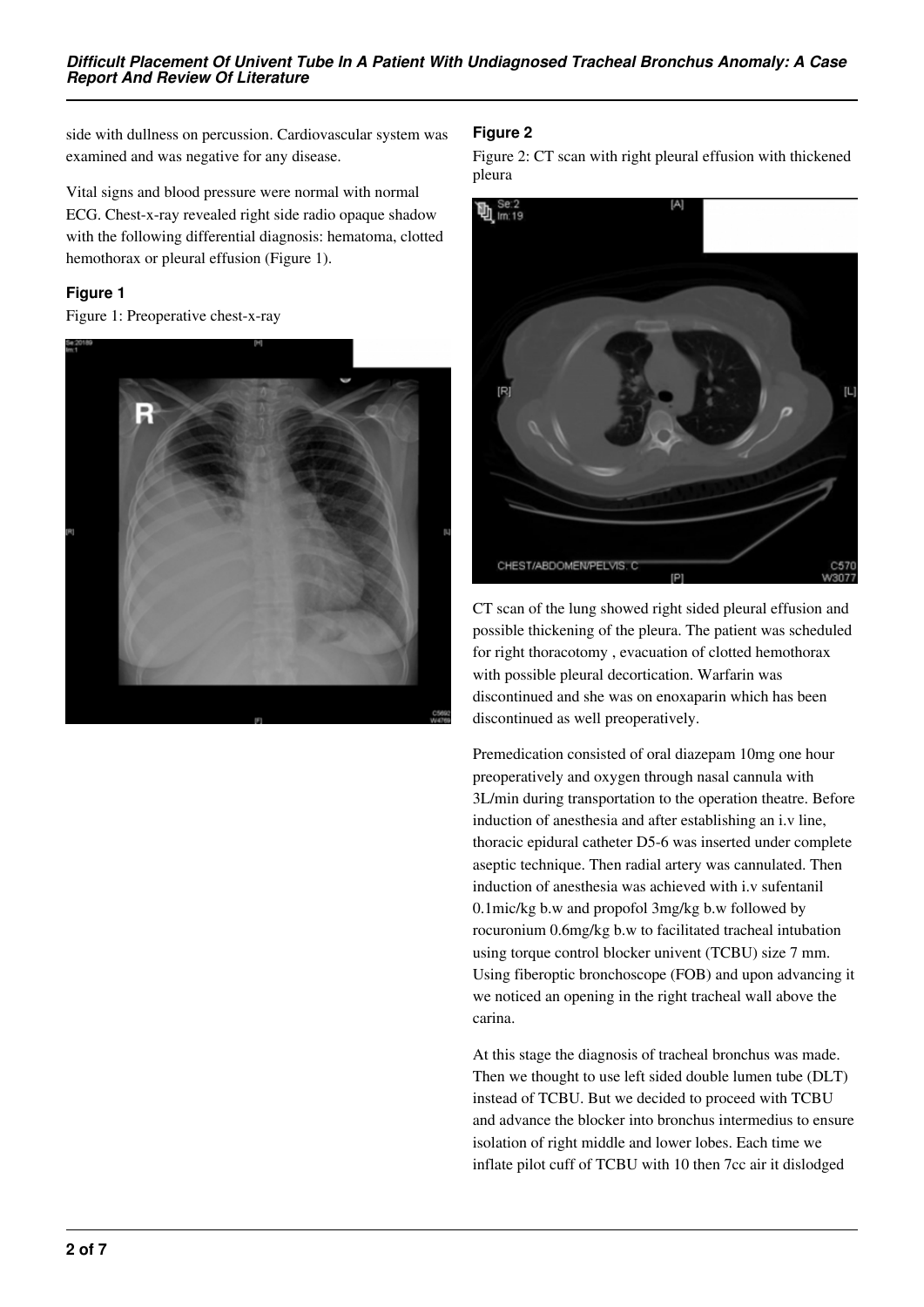side with dullness on percussion. Cardiovascular system was examined and was negative for any disease.

Vital signs and blood pressure were normal with normal ECG. Chest-x-ray revealed right side radio opaque shadow with the following differential diagnosis: hematoma, clotted hemothorax or pleural effusion (Figure 1).

#### **Figure 1**

Figure 1: Preoperative chest-x-ray



## **Figure 2**

Figure 2: CT scan with right pleural effusion with thickened pleura



CT scan of the lung showed right sided pleural effusion and possible thickening of the pleura. The patient was scheduled for right thoracotomy , evacuation of clotted hemothorax with possible pleural decortication. Warfarin was discontinued and she was on enoxaparin which has been discontinued as well preoperatively.

Premedication consisted of oral diazepam 10mg one hour preoperatively and oxygen through nasal cannula with 3L/min during transportation to the operation theatre. Before induction of anesthesia and after establishing an i.v line, thoracic epidural catheter D5-6 was inserted under complete aseptic technique. Then radial artery was cannulated. Then induction of anesthesia was achieved with i.v sufentanil 0.1mic/kg b.w and propofol 3mg/kg b.w followed by rocuronium 0.6mg/kg b.w to facilitated tracheal intubation using torque control blocker univent (TCBU) size 7 mm. Using fiberoptic bronchoscope (FOB) and upon advancing it we noticed an opening in the right tracheal wall above the carina.

At this stage the diagnosis of tracheal bronchus was made. Then we thought to use left sided double lumen tube (DLT) instead of TCBU. But we decided to proceed with TCBU and advance the blocker into bronchus intermedius to ensure isolation of right middle and lower lobes. Each time we inflate pilot cuff of TCBU with 10 then 7cc air it dislodged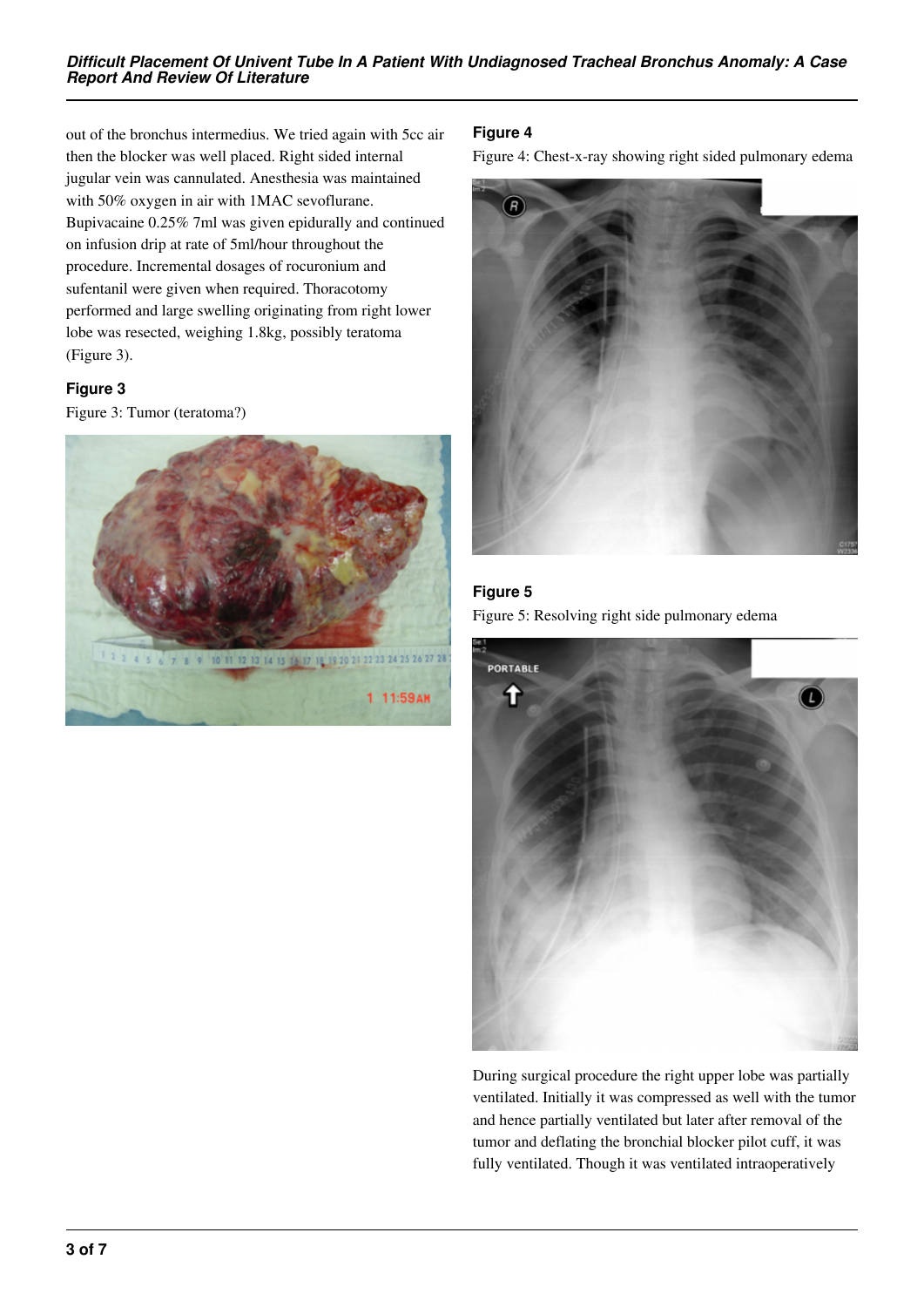out of the bronchus intermedius. We tried again with 5cc air then the blocker was well placed. Right sided internal jugular vein was cannulated. Anesthesia was maintained with 50% oxygen in air with 1MAC sevoflurane. Bupivacaine 0.25% 7ml was given epidurally and continued on infusion drip at rate of 5ml/hour throughout the procedure. Incremental dosages of rocuronium and sufentanil were given when required. Thoracotomy performed and large swelling originating from right lower lobe was resected, weighing 1.8kg, possibly teratoma (Figure 3).

## **Figure 3**

Figure 3: Tumor (teratoma?)



# **Figure 4**

Figure 4: Chest-x-ray showing right sided pulmonary edema



# **Figure 5** Figure 5: Resolving right side pulmonary edema



During surgical procedure the right upper lobe was partially ventilated. Initially it was compressed as well with the tumor and hence partially ventilated but later after removal of the tumor and deflating the bronchial blocker pilot cuff, it was fully ventilated. Though it was ventilated intraoperatively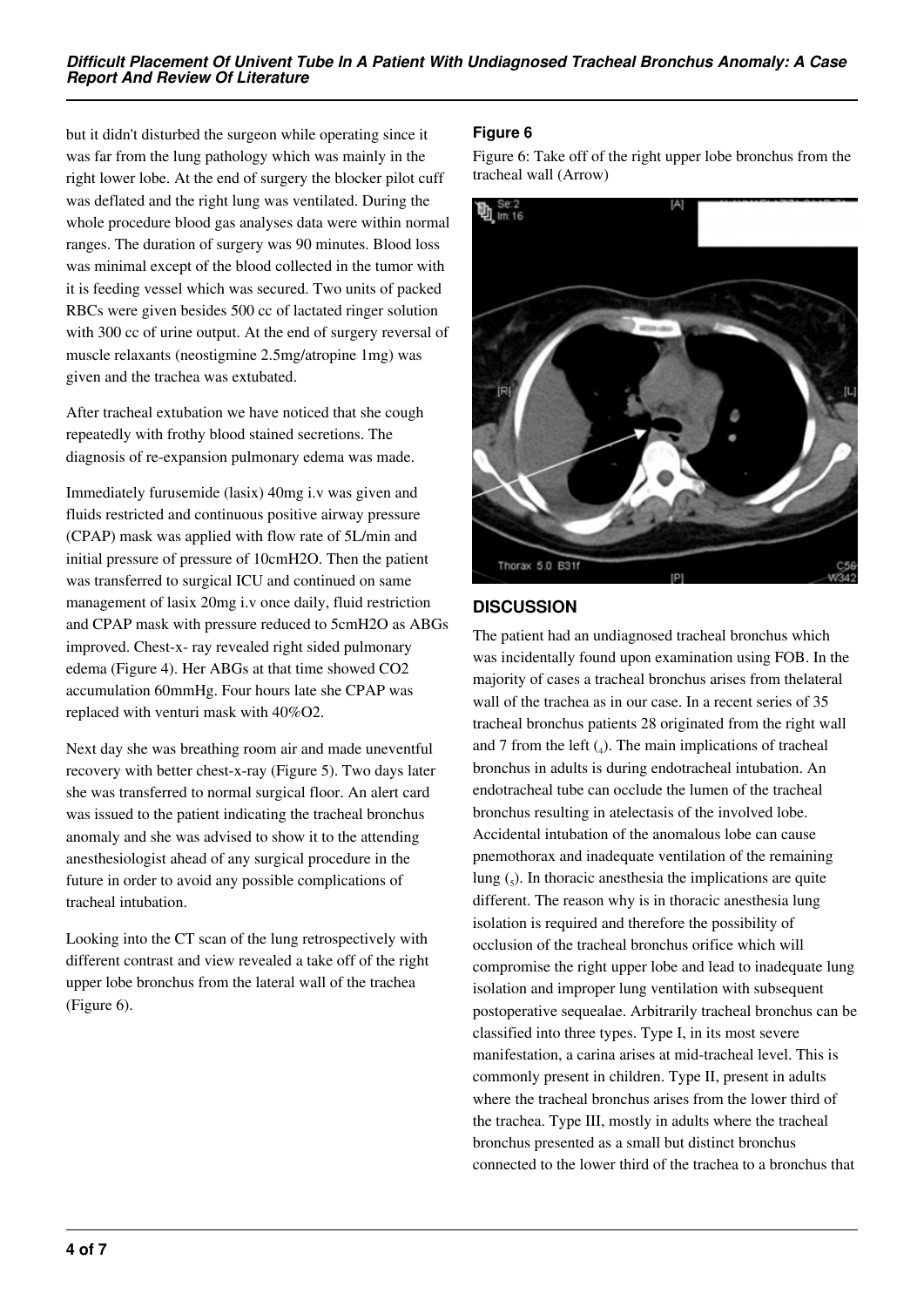but it didn't disturbed the surgeon while operating since it was far from the lung pathology which was mainly in the right lower lobe. At the end of surgery the blocker pilot cuff was deflated and the right lung was ventilated. During the whole procedure blood gas analyses data were within normal ranges. The duration of surgery was 90 minutes. Blood loss was minimal except of the blood collected in the tumor with it is feeding vessel which was secured. Two units of packed RBCs were given besides 500 cc of lactated ringer solution with 300 cc of urine output. At the end of surgery reversal of muscle relaxants (neostigmine 2.5mg/atropine 1mg) was given and the trachea was extubated.

After tracheal extubation we have noticed that she cough repeatedly with frothy blood stained secretions. The diagnosis of re-expansion pulmonary edema was made.

Immediately furusemide (lasix) 40mg i.v was given and fluids restricted and continuous positive airway pressure (CPAP) mask was applied with flow rate of 5L/min and initial pressure of pressure of 10cmH2O. Then the patient was transferred to surgical ICU and continued on same management of lasix 20mg i.v once daily, fluid restriction and CPAP mask with pressure reduced to 5cmH2O as ABGs improved. Chest-x- ray revealed right sided pulmonary edema (Figure 4). Her ABGs at that time showed CO2 accumulation 60mmHg. Four hours late she CPAP was replaced with venturi mask with 40%O2.

Next day she was breathing room air and made uneventful recovery with better chest-x-ray (Figure 5). Two days later she was transferred to normal surgical floor. An alert card was issued to the patient indicating the tracheal bronchus anomaly and she was advised to show it to the attending anesthesiologist ahead of any surgical procedure in the future in order to avoid any possible complications of tracheal intubation.

Looking into the CT scan of the lung retrospectively with different contrast and view revealed a take off of the right upper lobe bronchus from the lateral wall of the trachea (Figure 6).

## **Figure 6**

Figure 6: Take off of the right upper lobe bronchus from the tracheal wall (Arrow)



# **DISCUSSION**

The patient had an undiagnosed tracheal bronchus which was incidentally found upon examination using FOB. In the majority of cases a tracheal bronchus arises from thelateral wall of the trachea as in our case. In a recent series of 35 tracheal bronchus patients 28 originated from the right wall and 7 from the left  $\left( \_4 \right)$ . The main implications of tracheal bronchus in adults is during endotracheal intubation. An endotracheal tube can occlude the lumen of the tracheal bronchus resulting in atelectasis of the involved lobe. Accidental intubation of the anomalous lobe can cause pnemothorax and inadequate ventilation of the remaining lung  $\left($ <sub>5</sub> $\right)$ . In thoracic anesthesia the implications are quite different. The reason why is in thoracic anesthesia lung isolation is required and therefore the possibility of occlusion of the tracheal bronchus orifice which will compromise the right upper lobe and lead to inadequate lung isolation and improper lung ventilation with subsequent postoperative sequealae. Arbitrarily tracheal bronchus can be classified into three types. Type I, in its most severe manifestation, a carina arises at mid-tracheal level. This is commonly present in children. Type II, present in adults where the tracheal bronchus arises from the lower third of the trachea. Type III, mostly in adults where the tracheal bronchus presented as a small but distinct bronchus connected to the lower third of the trachea to a bronchus that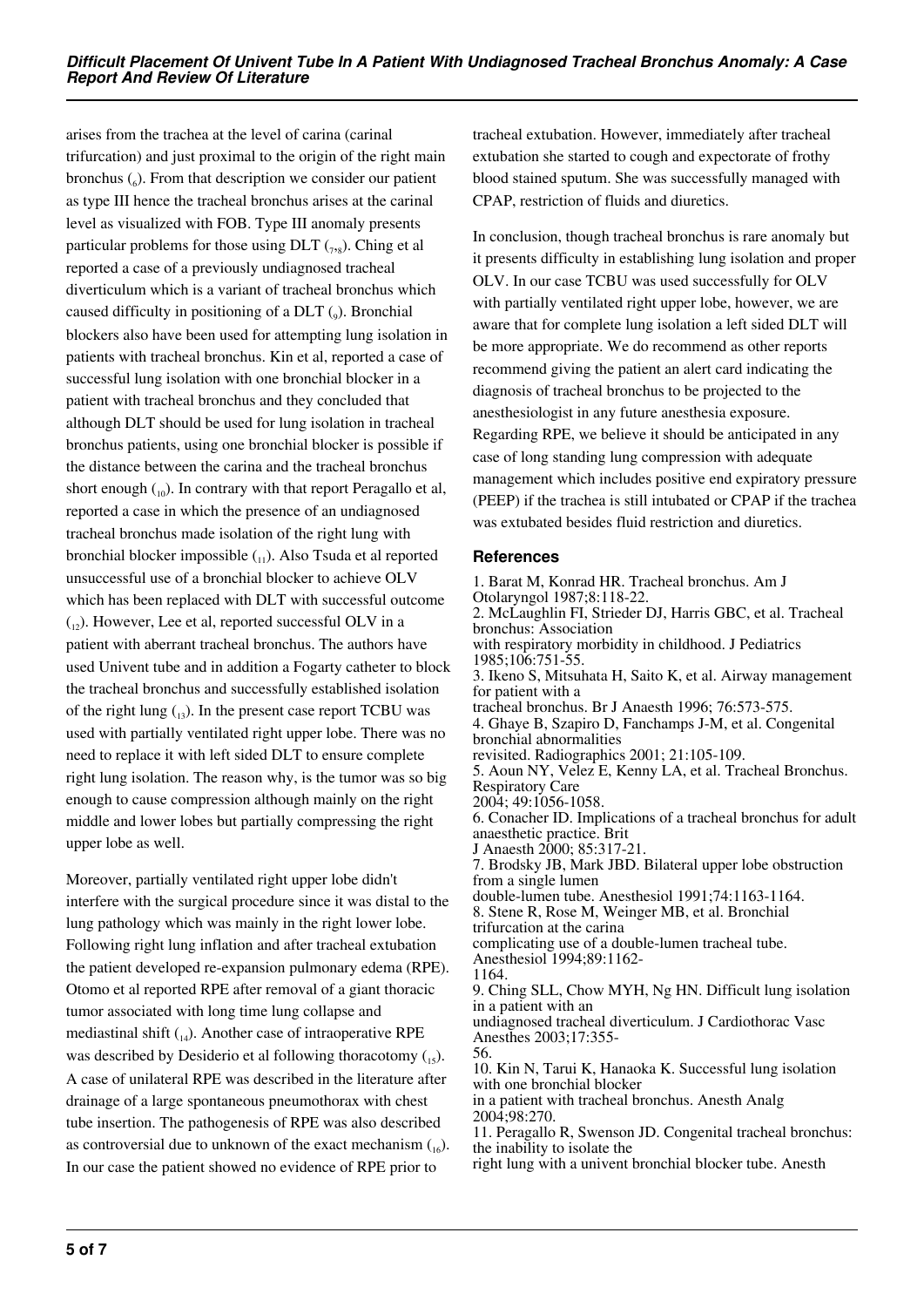arises from the trachea at the level of carina (carinal trifurcation) and just proximal to the origin of the right main bronchus  $\zeta_6$ ). From that description we consider our patient as type III hence the tracheal bronchus arises at the carinal level as visualized with FOB. Type III anomaly presents particular problems for those using  $DLT$  ( $_{7,8}$ ). Ching et al reported a case of a previously undiagnosed tracheal diverticulum which is a variant of tracheal bronchus which caused difficulty in positioning of a  $DLT$  ( $_{9}$ ). Bronchial blockers also have been used for attempting lung isolation in patients with tracheal bronchus. Kin et al, reported a case of successful lung isolation with one bronchial blocker in a patient with tracheal bronchus and they concluded that although DLT should be used for lung isolation in tracheal bronchus patients, using one bronchial blocker is possible if the distance between the carina and the tracheal bronchus short enough  $\binom{10}{10}$ . In contrary with that report Peragallo et al, reported a case in which the presence of an undiagnosed tracheal bronchus made isolation of the right lung with bronchial blocker impossible  $\binom{1}{1}$ . Also Tsuda et al reported unsuccessful use of a bronchial blocker to achieve OLV which has been replaced with DLT with successful outcome  $(1, 2)$ . However, Lee et al, reported successful OLV in a patient with aberrant tracheal bronchus. The authors have used Univent tube and in addition a Fogarty catheter to block the tracheal bronchus and successfully established isolation of the right lung  $_{13}$ ). In the present case report TCBU was used with partially ventilated right upper lobe. There was no need to replace it with left sided DLT to ensure complete right lung isolation. The reason why, is the tumor was so big enough to cause compression although mainly on the right middle and lower lobes but partially compressing the right upper lobe as well.

Moreover, partially ventilated right upper lobe didn't interfere with the surgical procedure since it was distal to the lung pathology which was mainly in the right lower lobe. Following right lung inflation and after tracheal extubation the patient developed re-expansion pulmonary edema (RPE). Otomo et al reported RPE after removal of a giant thoracic tumor associated with long time lung collapse and mediastinal shift  $_{14}$ ). Another case of intraoperative RPE was described by Desiderio et al following thoracotomy  $_{15}$ ). A case of unilateral RPE was described in the literature after drainage of a large spontaneous pneumothorax with chest tube insertion. The pathogenesis of RPE was also described as controversial due to unknown of the exact mechanism  $_{16}$ ). In our case the patient showed no evidence of RPE prior to

tracheal extubation. However, immediately after tracheal extubation she started to cough and expectorate of frothy blood stained sputum. She was successfully managed with CPAP, restriction of fluids and diuretics.

In conclusion, though tracheal bronchus is rare anomaly but it presents difficulty in establishing lung isolation and proper OLV. In our case TCBU was used successfully for OLV with partially ventilated right upper lobe, however, we are aware that for complete lung isolation a left sided DLT will be more appropriate. We do recommend as other reports recommend giving the patient an alert card indicating the diagnosis of tracheal bronchus to be projected to the anesthesiologist in any future anesthesia exposure. Regarding RPE, we believe it should be anticipated in any case of long standing lung compression with adequate management which includes positive end expiratory pressure (PEEP) if the trachea is still intubated or CPAP if the trachea was extubated besides fluid restriction and diuretics.

#### **References**

1. Barat M, Konrad HR. Tracheal bronchus. Am J Otolaryngol 1987;8:118-22. 2. McLaughlin FI, Strieder DJ, Harris GBC, et al. Tracheal bronchus: Association with respiratory morbidity in childhood. J Pediatrics 1985;106:751-55. 3. Ikeno S, Mitsuhata H, Saito K, et al. Airway management for patient with a tracheal bronchus. Br J Anaesth 1996; 76:573-575. 4. Ghaye B, Szapiro D, Fanchamps J-M, et al. Congenital bronchial abnormalities revisited. Radiographics 2001; 21:105-109. 5. Aoun NY, Velez E, Kenny LA, et al. Tracheal Bronchus. Respiratory Care 2004; 49:1056-1058. 6. Conacher ID. Implications of a tracheal bronchus for adult anaesthetic practice. Brit J Anaesth 2000; 85:317-21. 7. Brodsky JB, Mark JBD. Bilateral upper lobe obstruction from a single lumen double-lumen tube. Anesthesiol 1991;74:1163-1164. 8. Stene R, Rose M, Weinger MB, et al. Bronchial trifurcation at the carina complicating use of a double-lumen tracheal tube. Anesthesiol 1994;89:1162- 1164. 9. Ching SLL, Chow MYH, Ng HN. Difficult lung isolation in a patient with an undiagnosed tracheal diverticulum. J Cardiothorac Vasc Anesthes 2003;17:355- 56. 10. Kin N, Tarui K, Hanaoka K. Successful lung isolation with one bronchial blocker in a patient with tracheal bronchus. Anesth Analg 2004;98:270. 11. Peragallo R, Swenson JD. Congenital tracheal bronchus: the inability to isolate the right lung with a univent bronchial blocker tube. Anesth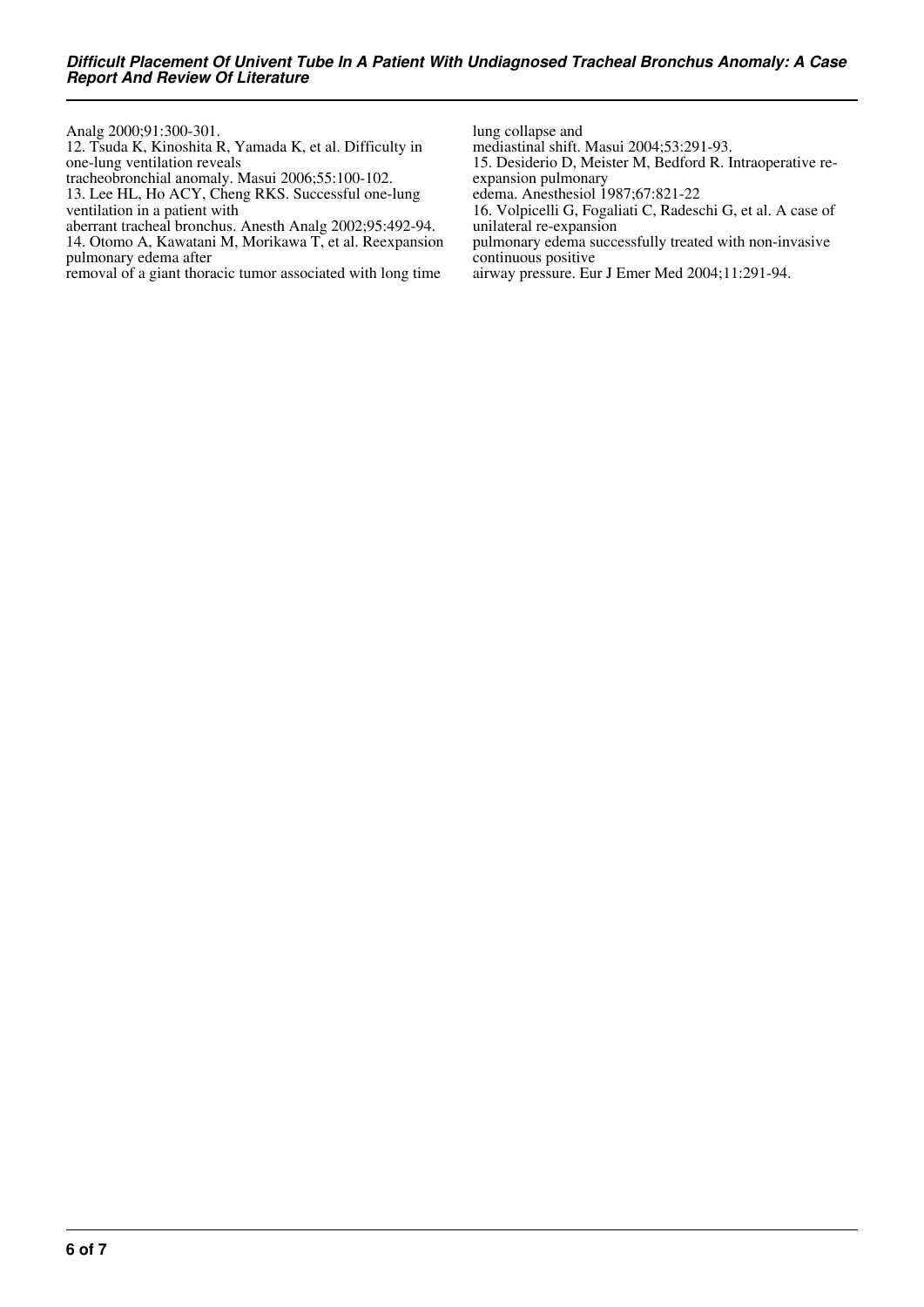Analg 2000;91:300-301.

12. Tsuda K, Kinoshita R, Yamada K, et al. Difficulty in one-lung ventilation reveals

tracheobronchial anomaly. Masui 2006;55:100-102.

13. Lee HL, Ho ACY, Cheng RKS. Successful one-lung ventilation in a patient with

aberrant tracheal bronchus. Anesth Analg 2002;95:492-94.

14. Otomo A, Kawatani M, Morikawa T, et al. Reexpansion pulmonary edema after

removal of a giant thoracic tumor associated with long time

lung collapse and

mediastinal shift. Masui 2004;53:291-93.

15. Desiderio D, Meister M, Bedford R. Intraoperative reexpansion pulmonary

edema. Anesthesiol 1987;67:821-22

16. Volpicelli G, Fogaliati C, Radeschi G, et al. A case of unilateral re-expansion

pulmonary edema successfully treated with non-invasive continuous positive

airway pressure. Eur J Emer Med 2004;11:291-94.